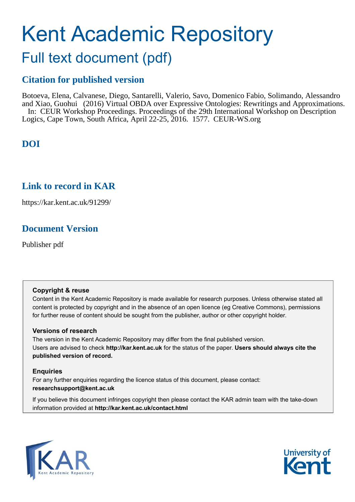# Kent Academic Repository

# Full text document (pdf)

# **Citation for published version**

Botoeva, Elena, Calvanese, Diego, Santarelli, Valerio, Savo, Domenico Fabio, Solimando, Alessandro and Xiao, Guohui (2016) Virtual OBDA over Expressive Ontologies: Rewritings and Approximations. In: CEUR Workshop Proceedings. Proceedings of the 29th International Workshop on Description Logics, Cape Town, South Africa, April 22-25, 2016. 1577. CEUR-WS.org

# **DOI**

# **Link to record in KAR**

https://kar.kent.ac.uk/91299/

# **Document Version**

Publisher pdf

# **Copyright & reuse**

Content in the Kent Academic Repository is made available for research purposes. Unless otherwise stated all content is protected by copyright and in the absence of an open licence (eg Creative Commons), permissions for further reuse of content should be sought from the publisher, author or other copyright holder.

# **Versions of research**

The version in the Kent Academic Repository may differ from the final published version. Users are advised to check **http://kar.kent.ac.uk** for the status of the paper. **Users should always cite the published version of record.**

# **Enquiries**

For any further enquiries regarding the licence status of this document, please contact: **researchsupport@kent.ac.uk**

If you believe this document infringes copyright then please contact the KAR admin team with the take-down information provided at **http://kar.kent.ac.uk/contact.html**



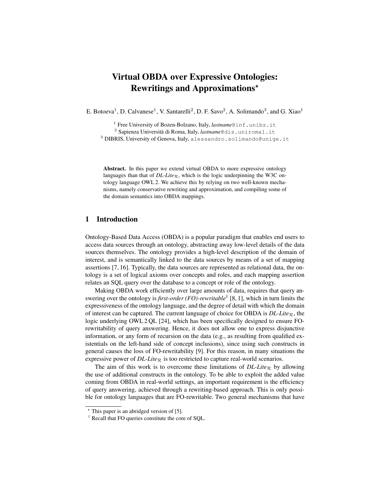# Virtual OBDA over Expressive Ontologies: Rewritings and Approximations?

E. Botoeva<sup>1</sup>, D. Calvanese<sup>1</sup>, V. Santarelli<sup>2</sup>, D. F. Savo<sup>2</sup>, A. Solimando<sup>3</sup>, and G. Xiao<sup>1</sup>

<sup>1</sup> Free University of Bozen-Bolzano, Italy, *lastname*@inf.unibz.it

<sup>2</sup> Sapienza Università di Roma, Italy, *lastname*@dis.uniroma1.it

 $3$  DIBRIS, University of Genova, Italy, alessandro.solimando@unige.it

Abstract. In this paper we extend virtual OBDA to more expressive ontology languages than that of  $DL\text{-}Lite_{\mathcal{R}}$ , which is the logic underpinning the W3C ontology language OWL 2. We achieve this by relying on two well-known mechanisms, namely conservative rewriting and approximation, and compiling some of the domain semantics into OBDA mappings.

#### 1 Introduction

Ontology-Based Data Access (OBDA) is a popular paradigm that enables end users to access data sources through an ontology, abstracting away low-level details of the data sources themselves. The ontology provides a high-level description of the domain of interest, and is semantically linked to the data sources by means of a set of mapping assertions [7, 16]. Typically, the data sources are represented as relational data, the ontology is a set of logical axioms over concepts and roles, and each mapping assertion relates an SQL query over the database to a concept or role of the ontology.

Making OBDA work efficiently over large amounts of data, requires that query answering over the ontology is *first-order (FO)-rewritable*<sup>1</sup> [8, 1], which in turn limits the expressiveness of the ontology language, and the degree of detail with which the domain of interest can be captured. The current language of choice for OBDA is  $DL\text{-}Life_R$ , the logic underlying OWL 2 QL [24], which has been specifically designed to ensure FOrewritability of query answering. Hence, it does not allow one to express disjunctive information, or any form of recursion on the data (e.g., as resulting from qualified existentials on the left-hand side of concept inclusions), since using such constructs in general causes the loss of FO-rewritability [9]. For this reason, in many situations the expressive power of  $DL\text{-}Life_{\mathcal{R}}$  is too restricted to capture real-world scenarios.

The aim of this work is to overcome these limitations of  $DL\text{-}Lie_R$  by allowing the use of additional constructs in the ontology. To be able to exploit the added value coming from OBDA in real-world settings, an important requirement is the efficiency of query answering, achieved through a rewriting-based approach. This is only possible for ontology languages that are FO-rewritable. Two general mechanisms that have

 $*$  This paper is an abridged version of [5].

<sup>&</sup>lt;sup>1</sup> Recall that FO queries constitute the core of SQL.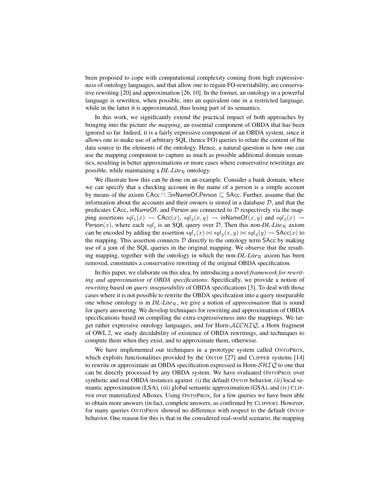been proposed to cope with computational complexity coming from high expressiveness of ontology languages, and that allow one to regain FO-rewritability, are conservative rewriting [20] and approximation [26, 10]. In the former, an ontology in a powerful language is rewritten, when possible, into an equivalent one in a restricted language, while in the latter it is approximated, thus losing part of its semantics.

In this work, we significantly extend the practical impact of both approaches by bringing into the picture *the mapping*, an essential component of OBDA that has been ignored so far. Indeed, it is a fairly expressive component of an OBDA system, since it allows one to make use of arbitrary SQL (hence FO) queries to relate the content of the data source to the elements of the ontology. Hence, a natural question is how one can use the mapping component to capture as much as possible additional domain semantics, resulting in better approximations or more cases where conservative rewritings are possible, while maintaining a  $DL\text{-}Lie_R$  ontology.

We illustrate how this can be done on an example. Consider a bank domain, where we can specify that a checking account in the name of a person is a simple account by means of the axiom CAcc  $\Box$  ∃inNameOf.Person  $\Box$  SAcc. Further, assume that the information about the accounts and their owners is stored in a database  $D$ , and that the predicates CAcc, inNameOf, and Person are connected to  $D$  respectively via the mapping assertions  $\mathfrak{sd}_1(x) \rightsquigarrow \mathsf{CAcc}(x)$ ,  $\mathfrak{sd}_2(x, y) \rightsquigarrow \mathsf{inNameOf}(x, y)$  and  $\mathfrak{sd}_3(x) \rightsquigarrow$ Person(x), where each  $\mathfrak{sd}_i$  is an SQL query over  $\mathcal D$ . Then this non- $DL\text{-}Lie_{\mathcal{R}}$  axiom can be encoded by adding the assertion  $\mathfrak{sdl}_1(x) \bowtie \mathfrak{sdl}_2(x,y) \bowtie \mathfrak{sdl}_3(y) \rightsquigarrow$  SAcc $(x)$  to the mapping. This assertion connects  $D$  directly to the ontology term SAcc by making use of a join of the SQL queries in the original mapping. We observe that the resulting mapping, together with the ontology in which the non- $DL\text{-}Lie_R$  axiom has been removed, constitutes a conservative rewriting of the original OBDA specification.

In this paper, we elaborate on this idea, by introducing a novel *framework for rewriting and approximation of OBDA specifications*. Specifically, we provide a notion of *rewriting* based on *query inseparability* of OBDA specifications [3]. To deal with those cases where it is not possible to rewrite the OBDA specification into a query inseparable one whose ontology is in  $DL\text{-}Life_R$ , we give a notion of *approximation* that is sound for query answering. We develop techniques for rewriting and approximation of OBDA specifications based on compiling the extra expressiveness into the mappings. We target rather expressive ontology languages, and for Horn- $\text{ALCHIQ}$ , a Horn fragment of OWL 2, we study decidability of existence of OBDA rewritings, and techniques to compute them when they exist, and to approximate them, otherwise.

We have implemented our techniques in a prototype system called ONTOPROX, which exploits functionalities provided by the ONTOP [27] and CLIPPER systems [14] to rewrite or approximate an OBDA specification expressed in Horn- $\mathcal{SHIQ}$  to one that can be directly processed by any OBDA system. We have evaluated ONTOPROX over synthetic and real OBDA instances against *(i)* the default ONTOP behavior, *(ii)* local semantic approximation (LSA), *(iii)* global semantic approximation (GSA), and *(iv)* CLIP-PER over materialized ABoxes. Using ONTOPROX, for a few queries we have been able to obtain more answers (in fact, complete answers, as confirmed by CLIPPER). However, for many queries ONTOPROX showed no difference with respect to the default ONTOP behavior. One reason for this is that in the considered real-world scenario, the mapping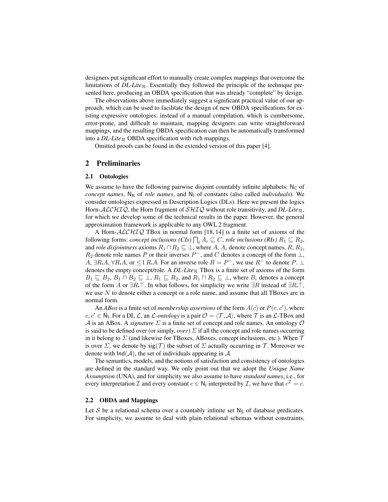designers put significant effort to manually create complex mappings that overcome the limitations of  $DL\text{-}Lie_R$ . Essentially they followed the principle of the technique presented here, producing an OBDA specification that was already "complete" by design.

The observations above immediately suggest a significant practical value of our approach, which can be used to facilitate the design of new OBDA specifications for existing expressive ontologies: instead of a manual compilation, which is cumbersome, error-prone, and difficult to maintain, mapping designers can write straightforward mappings, and the resulting OBDA specification can then be automatically transformed into a  $DL\text{-}Lie_R$  OBDA specification with rich mappings.

Omitted proofs can be found in the extended version of this paper [4].

#### 2 Preliminaries

#### 2.1 Ontologies

We assume to have the following pairwise disjoint countably infinite alphabets:  $N_c$  of *concept names*,  $N_R$  of *role names*, and  $N_I$  of constants (also called *individuals*). We consider ontologies expressed in Description Logics (DLs). Here we present the logics Horn- $ALCHIQ$ , the Horn fragment of  $SHIQ$  without role transitivity, and *DL-Lite*<sub>R</sub>, for which we develop some of the technical results in the paper. However, the general approximation framework is applicable to any OWL 2 fragment.

A Horn- $ALCHIQ$  TBox in normal form [18, 14] is a finite set of axioms of the following forms: *concept inclusions* (*CIs*)  $\prod_i A_i \sqsubseteq C$ , *role inclusions* (*RIs*)  $R_1 \sqsubseteq R_2$ , and *role disjointness* axioms  $R_1 \sqcap R_2 \sqsubseteq \bot$ , where A,  $A_i$  denote concept names,  $R$ ,  $R_1$ ,  $R_2$  denote role names P or their inverses  $P^-$ , and C denotes a concept of the form  $\perp$ , A,  $\exists R.A, \forall R.A$ , or  $\leq 1 R.A$ . For an inverse role  $R = P^-$ , we use  $R^-$  to denote  $P \perp \perp$ denotes the empty concept/role. A  $DL\text{-}Life_R$  TBox is a finite set of axioms of the form  $B_1 \subseteq B_2, B_1 \sqcap B_2 \subseteq \bot, R_1 \sqsubseteq R_2$ , and  $R_1 \sqcap R_2 \sqsubseteq \bot$ , where  $B_i$  denotes a concept of the form A or  $\exists R.\top$ . In what follows, for simplicity we write  $\exists R$  instead of  $\exists R.\top$ , we use N to denote either a concept or a role name, and assume that all TBoxes are in normal form.

An *ABox* is a finite set of *membership assertions* of the form  $A(c)$  or  $P(c, c')$ , where  $c, c' \in \mathbb{N}_1$ . For a DL  $\mathcal{L}$ , an  $\mathcal{L}\text{-}ontology$  is a pair  $\mathcal{O} = \langle \mathcal{T}, \mathcal{A} \rangle$ , where  $\mathcal{T}$  is an  $\mathcal{L}\text{-}TBox$  and A is an ABox. A *signature*  $\Sigma$  is a finite set of concept and role names. An ontology  $\mathcal O$ is said to be defined over (or simply, *over*)  $\Sigma$  if all the concept and role names occurring in it belong to  $\Sigma$  (and likewise for TBoxes, ABoxes, concept inclusions, etc.). When  $\tau$ is over  $\Sigma$ , we denote by sig(T) the subset of  $\Sigma$  actually occurring in T. Moreover we denote with  $Ind(A)$ , the set of individuals appearing in A.

The semantics, models, and the notions of satisfaction and consistency of ontologies are defined in the standard way. We only point out that we adopt the *Unique Name Assumption* (UNA), and for simplicity we also assume to have *standard names*, i.e., for every interpretation  $\mathcal I$  and every constant  $c \in \mathsf{N}_1$  interpreted by  $\mathcal I$ , we have that  $c^{\mathcal I}=c$ .

#### 2.2 OBDA and Mappings

Let S be a relational schema over a countably infinite set  $N<sub>S</sub>$  of database predicates. For simplicity, we assume to deal with plain relational schemas without constraints,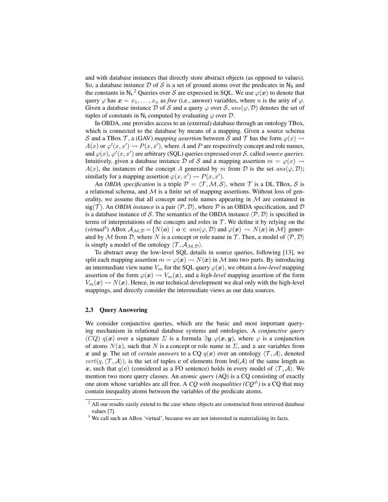and with database instances that directly store abstract objects (as opposed to values). So, a database instance D of S is a set of ground atoms over the predicates in  $N<sub>S</sub>$  and the constants in N<sub>1</sub>.<sup>2</sup> Queries over S are expressed in SQL. We use  $\varphi(x)$  to denote that query  $\varphi$  has  $x = x_1, \ldots, x_n$  as *free* (i.e., answer) variables, where *n* is the arity of  $\varphi$ . Given a database instance D of S and a query  $\varphi$  over S, ans $(\varphi, \mathcal{D})$  denotes the set of tuples of constants in N<sub>I</sub> computed by evaluating  $\varphi$  over D.

In OBDA, one provides access to an (external) database through an ontology TBox, which is connected to the database by means of a mapping. Given a source schema S and a TBox T, a (GAV) *mapping assertion* between S and T has the form  $\varphi(x) \rightarrow$  $A(x)$  or  $\varphi'(x, x') \rightsquigarrow P(x, x')$ , where A and P are respectively concept and role names, and  $\varphi(x)$ ,  $\varphi'(x, x')$  are arbitrary (SQL) queries expressed over S, called *source queries*. Intuitively, given a database instance D of S and a mapping assertion  $m = \varphi(x) \rightsquigarrow$  $A(x)$ , the instances of the concept A generated by m from D is the set ans( $\varphi$ , D); similarly for a mapping assertion  $\varphi(x, x') \rightsquigarrow P(x, x')$ .

An *OBDA specification* is a triple  $P = \langle T, M, S \rangle$ , where T is a DL TBox, S is a relational schema, and  $M$  is a finite set of mapping assertions. Without loss of generality, we assume that all concept and role names appearing in  $M$  are contained in  $sig(\mathcal{T})$ . An *OBDA instance* is a pair  $\langle \mathcal{P}, \mathcal{D} \rangle$ , where  $\mathcal P$  is an OBDA specification, and  $\mathcal D$ is a database instance of S. The semantics of the OBDA instance  $\langle \mathcal{P}, \mathcal{D} \rangle$  is specified in terms of interpretations of the concepts and roles in  $T$ . We define it by relying on the (*virtual*<sup>3</sup>) ABox  $A_{\mathcal{M},\mathcal{D}} = \{ N(o) \mid o \in ans(\varphi, \mathcal{D}) \text{ and } \varphi(\bm{x}) \leadsto N(\bm{x}) \text{ in } \mathcal{M} \}$  generated by M from D, where N is a concept or role name in T. Then, a model of  $\langle P, D \rangle$ is simply a model of the ontology  $\langle \mathcal{T}, \mathcal{A}_{\mathcal{M},\mathcal{D}} \rangle$ .

To abstract away the low-level SQL details in source queries, following [13], we split each mapping assertion  $m = \varphi(x) \rightsquigarrow N(x)$  in M into two parts. By introducing an intermediate view name  $V_m$  for the SQL query  $\varphi(x)$ , we obtain a *low-level* mapping assertion of the form  $\varphi(x) \rightsquigarrow V_m(x)$ , and a *high-level* mapping assertion of the form  $V_m(x) \rightarrow N(x)$ . Hence, in our technical development we deal only with the high-level mappings, and directly consider the intermediate views as our data sources.

#### 2.3 Query Answering

We consider conjunctive queries, which are the basic and most important querying mechanism in relational database systems and ontologies. A *conjunctive query* (CQ)  $q(x)$  over a signature  $\Sigma$  is a formula  $\exists y$ .  $\varphi(x, y)$ , where  $\varphi$  is a conjunction of atoms  $N(z)$ , such that N is a concept or role name in  $\Sigma$ , and z are variables from x and y. The set of *certain answers* to a CQ  $q(x)$  over an ontology  $\langle \mathcal{T}, \mathcal{A} \rangle$ , denoted  $cert(q, \langle T, A \rangle)$ , is the set of tuples c of elements from  $Ind(A)$  of the same length as x, such that  $q(c)$  (considered as a FO sentence) holds in every model of  $\langle \mathcal{T}, \mathcal{A} \rangle$ . We mention two more query classes. An *atomic query* (AQ) is a CQ consisting of exactly one atom whose variables are all free. A *CQ with inequalities (CQ<sup>* $\neq$ *</sup>)* is a CQ that may contain inequality atoms between the variables of the predicate atoms.

<sup>&</sup>lt;sup>2</sup> All our results easily extend to the case where objects are constructed from retrieved database values [7].

<sup>&</sup>lt;sup>3</sup> We call such an ABox 'virtual', because we are not interested in materializing its facts.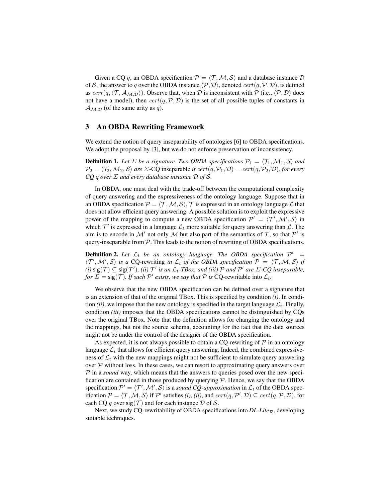Given a CQ q, an OBDA specification  $P = \langle T, M, S \rangle$  and a database instance D of S, the answer to q over the OBDA instance  $\langle P, D \rangle$ , denoted  $cert(q, P, D)$ , is defined as  $cert(q, \langle T, A_{M,D} \rangle)$ . Observe that, when D is inconsistent with P (i.e.,  $\langle P, D \rangle$  does not have a model), then  $cert(q, \mathcal{P}, \mathcal{D})$  is the set of all possible tuples of constants in  $\mathcal{A}_{\mathcal{M},\mathcal{D}}$  (of the same arity as q).

#### 3 An OBDA Rewriting Framework

We extend the notion of query inseparability of ontologies [6] to OBDA specifications. We adopt the proposal by [3], but we do not enforce preservation of inconsistency.

**Definition 1.** Let  $\Sigma$  be a signature. Two OBDA specifications  $\mathcal{P}_1 = \langle \mathcal{T}_1, \mathcal{M}_1, \mathcal{S} \rangle$  and  $\mathcal{P}_2 = \langle \mathcal{T}_2,\mathcal{M}_2,\mathcal{S}\rangle$  are  $\Sigma$ -CQ inseparable *if*  $cert(q,\mathcal{P}_1,\mathcal{D}) = cert(q,\mathcal{P}_2,\mathcal{D})$ *, for every CQ* q *over* Σ *and every database instance* D *of* S*.*

In OBDA, one must deal with the trade-off between the computational complexity of query answering and the expressiveness of the ontology language. Suppose that in an OBDA specification  $P = \langle T, M, S \rangle$ , T is expressed in an ontology language  $\mathcal L$  that does not allow efficient query answering. A possible solution is to exploit the expressive power of the mapping to compute a new OBDA specification  $\mathcal{P}' = \langle \mathcal{T}', \mathcal{M}', \mathcal{S} \rangle$  in which  $\mathcal{T}'$  is expressed in a language  $\mathcal{L}_t$  more suitable for query answering than  $\mathcal{L}$ . The aim is to encode in M' not only M but also part of the semantics of  $T$ , so that P' is query-inseparable from  $P$ . This leads to the notion of rewriting of OBDA specifications.

**Definition 2.** Let  $\mathcal{L}_t$  be an ontology language. The OBDA specification  $\mathcal{P}' =$  $\langle T', \mathcal{M}', \mathcal{S} \rangle$  *is a* CQ-rewriting *in*  $\mathcal{L}_t$  *of the OBDA specification*  $\mathcal{P} = \langle T, \mathcal{M}, \mathcal{S} \rangle$  *if*  $(i)$   $\text{sig}(\mathcal{T}) \subseteq \text{sig}(\mathcal{T}')$ ,  $(ii)$   $\mathcal{T}'$  *is an*  $\mathcal{L}_t$ -TBox, and  $(iii)$   $\mathcal{P}$  *and*  $\mathcal{P}'$  *are*  $\Sigma$ -CQ *inseparable*, *for*  $\Sigma = \text{sig}(\mathcal{T})$ *. If such*  $\mathcal{P}'$  *exists, we say that*  $\mathcal{P}$  *is* CQ-rewritable into  $\mathcal{L}_t$ *.* 

We observe that the new OBDA specification can be defined over a signature that is an extension of that of the original TBox. This is specified by condition *(i)*. In condition *(ii)*, we impose that the new ontology is specified in the target language  $\mathcal{L}_t$ . Finally, condition *(iii)* imposes that the OBDA specifications cannot be distinguished by CQs over the original TBox. Note that the definition allows for changing the ontology and the mappings, but not the source schema, accounting for the fact that the data sources might not be under the control of the designer of the OBDA specification.

As expected, it is not always possible to obtain a CQ-rewriting of  $\mathcal P$  in an ontology language  $\mathcal{L}_t$  that allows for efficient query answering. Indeed, the combined expressiveness of  $\mathcal{L}_t$  with the new mappings might not be sufficient to simulate query answering over  $P$  without loss. In these cases, we can resort to approximating query answers over  $P$  in a *sound* way, which means that the answers to queries posed over the new specification are contained in those produced by querying  $P$ . Hence, we say that the OBDA specification  $\mathcal{P}' = \langle \mathcal{T}', \mathcal{M}', \mathcal{S} \rangle$  is a *sound CQ-approximation* in  $\mathcal{L}_t$  of the OBDA specification  $P = \langle T, M, S \rangle$  if  $P'$  satisfies *(i)*, *(ii)*, and  $cert(q, P', D) \subseteq cert(q, P, D)$ , for each CQ q over  $sig(\mathcal{T})$  and for each instance D of S.

Next, we study CQ-rewritability of OBDA specifications into  $DL\text{-}Lie_R$ , developing suitable techniques.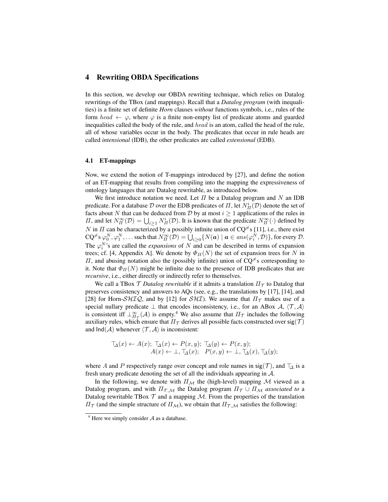#### 4 Rewriting OBDA Specifications

In this section, we develop our OBDA rewriting technique, which relies on Datalog rewritings of the TBox (and mappings). Recall that a *Datalog program* (with inequalities) is a finite set of definite *Horn* clauses *without* functions symbols, i.e., rules of the form head  $\leftarrow \varphi$ , where  $\varphi$  is a finite non-empty list of predicate atoms and guarded inequalities called the body of the rule, and head is an atom, called the head of the rule, all of whose variables occur in the body. The predicates that occur in rule heads are called *intensional* (IDB), the other predicates are called *extensional* (EDB).

#### 4.1 ET-mappings

Now, we extend the notion of T-mappings introduced by [27], and define the notion of an ET-mapping that results from compiling into the mapping the expressiveness of ontology languages that are Datalog rewritable, as introduced below.

We first introduce notation we need. Let  $\Pi$  be a Datalog program and  $N$  an IDB predicate. For a database  ${\cal D}$  over the EDB predicates of  $\Pi,$  let  $N^i_H({\cal D})$  denote the set of facts about N that can be deduced from D by at most  $i \geq 1$  applications of the rules in *Π*, and let  $N_{\Pi}^{\infty}(\mathcal{D}) = \bigcup_{i \geq 1} N_{\Pi}^{i}(\mathcal{D})$ . It is known that the predicate  $N_{\Pi}^{\infty}(\cdot)$  defined by N in  $\Pi$  can be characterized by a possibly infinite union of CQ<sup> $\neq$ </sup>s [11], i.e., there exist  $\mathsf{CQ}^{\neq{}}s\,\varphi_{0}^{N},\varphi_{1}^{N},\ldots$  such that  $N_{\varPi}^{\infty}(\mathcal{D})=\bigcup_{i\geq0}\{N(\bm{a})\mid \bm{a}\in ans(\varphi_{i}^{N},\mathcal{D})\},$  for every  $\mathcal{D}.$ The  $\varphi_i^N$ 's are called the *expansions* of N and can be described in terms of expansion trees; cf. [4, Appendix A]. We denote by  $\Phi_{II}(N)$  the set of expansion trees for N in Π, and abusing notation also the (possibly infinite) union of  $CQ^{\neq}$ s corresponding to it. Note that  $\Phi_{II}(N)$  might be infinite due to the presence of IDB predicates that are *recursive*, i.e., either directly or indirectly refer to themselves.

We call a TBox  $\mathcal T$  *Datalog rewritable* if it admits a translation  $\Pi_{\mathcal T}$  to Datalog that preserves consistency and answers to AQs (see, e.g., the translations by [17], [14], and [28] for Horn- $\mathcal{SHTQ}$ , and by [12] for  $\mathcal{SHT}$ . We assume that  $\Pi_{\mathcal{T}}$  makes use of a special nullary predicate  $\perp$  that encodes inconsistency, i.e., for an ABox A,  $\langle \mathcal{T}, \mathcal{A} \rangle$ is consistent iff  $\perp_{\Pi_{\mathcal{T}}}^{\infty}(\mathcal{A})$  is empty.<sup>4</sup> We also assume that  $\Pi_{\mathcal{T}}$  includes the following auxiliary rules, which ensure that  $\Pi_{\mathcal{T}}$  derives all possible facts constructed over sig(T) and  $Ind(A)$  whenever  $\langle \mathcal{T}, \mathcal{A} \rangle$  is inconsistent:

$$
\mathcal{T}_{\Delta}(x) \leftarrow A(x); \ \mathcal{T}_{\Delta}(x) \leftarrow P(x, y); \ \mathcal{T}_{\Delta}(y) \leftarrow P(x, y); A(x) \leftarrow \bot, \mathcal{T}_{\Delta}(x); \ \ P(x, y) \leftarrow \bot, \mathcal{T}_{\Delta}(x), \mathcal{T}_{\Delta}(y);
$$

where A and P respectively range over concept and role names in sig(T), and  $\top_{\Delta}$  is a fresh unary predicate denoting the set of all the individuals appearing in A.

In the following, we denote with  $\Pi_M$  the (high-level) mapping M viewed as a Datalog program, and with  $\Pi_{\tau,M}$  the Datalog program  $\Pi_{\tau} \cup \Pi_{M}$  associated to a Datalog rewritable TBox  $T$  and a mapping  $M$ . From the properties of the translation  $\Pi_{\mathcal{T}}$  (and the simple structure of  $\Pi_{\mathcal{M}}$ ), we obtain that  $\Pi_{\mathcal{T},\mathcal{M}}$  satisfies the following:

 $4$  Here we simply consider  $A$  as a database.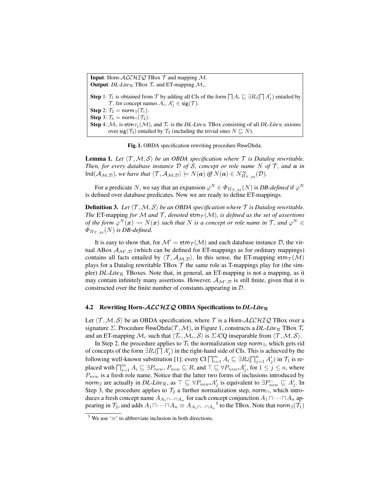**Input:** Horn- $ALCHIQ$  TBox  $T$  and mapping M. **Output:** *DL-Lite*<sub>R</sub> TBox  $\mathcal{T}_r$  and ET-mapping  $\mathcal{M}_c$ . **Step** 1:  $\mathcal{T}_1$  is obtained from  $\mathcal{T}$  by adding all CIs of the form  $\prod A_i \sqsubseteq \exists R. (\prod A'_j)$  entailed by  $\mathcal{T}$ , for concept names  $A_i, A'_j \in \text{sig}(\mathcal{T})$ . Step 2:  $\mathcal{T}_2$  = norm<sub>∃</sub>( $\mathcal{T}_1$ ). Step 3:  $\mathcal{T}_3$  = norm $\sqcap(\mathcal{T}_2)$ . **Step** 4:  $\mathcal{M}_c$  is etm $_{\mathcal{T}_3}(\mathcal{M})$ , and  $\mathcal{T}_r$  is the DL-Lite<sub>R</sub> TBox consisting of all DL-Lite<sub>R</sub> axioms over sig( $\mathcal{T}_3$ ) entailed by  $\mathcal{T}_3$  (including the trivial ones  $N \subseteq N$ ).

Fig. 1. OBDA specification rewriting procedure RewObda.

**Lemma 1.** Let  $\langle \mathcal{T}, \mathcal{M}, \mathcal{S} \rangle$  be an OBDA specification where  $\mathcal{T}$  is Datalog rewritable. *Then, for every database instance*  $D$  *of*  $S$ *, concept or role name*  $N$  *of*  $T$ *, and*  $a$  *in*  $\text{Ind}(\mathcal{A}_{\mathcal{M},\mathcal{D}})$ *, we have that*  $\langle \mathcal{T}, \mathcal{A}_{\mathcal{M},\mathcal{D}} \rangle \models N(\boldsymbol{a})$  *iff*  $N(\boldsymbol{a}) \in N^{\infty}_{\Pi_{\mathcal{T},\mathcal{M}}}(\mathcal{D})$ *.* 

For a predicate N, we say that an expansion  $\varphi^N \in \Phi_{\Pi_{\mathcal{T},\mathcal{M}}}(N)$  is *DB-defined* if  $\varphi^N$ is defined over database predicates. Now we are ready to define ET-mappings.

**Definition 3.** Let  $\langle T, M, S \rangle$  be an OBDA specification where  $T$  is Datalog rewritable. *The* ET-mapping *for* M *and* T, denoted  $\text{etm}_{\tau}(M)$ , is defined as the set of assertions *of the form*  $\varphi^N(x) \leadsto N(x)$  such that N is a concept or role name in T, and  $\varphi^N \in$  $\Phi_{\Pi_{\tau M}}(N)$  *is DB-defined.* 

It is easy to show that, for  $\mathcal{M}^{\prime} = \text{etm}_{\mathcal{T}}(\mathcal{M})$  and each database instance  $\mathcal{D}$ , the virtual ABox  $A_{\mathcal{M}',\mathcal{D}}$  (which can be defined for ET-mappings as for ordinary mappings) contains all facts entailed by  $\langle \mathcal{T}, \mathcal{A}_{M,D} \rangle$ . In this sense, the ET-mapping etm $\tau(\mathcal{M})$ plays for a Datalog rewritable TBox  $T$  the same role as T-mappings play for (the simpler) *DL-Lite*<sub>R</sub> TBoxes. Note that, in general, an ET-mapping is not a mapping, as it may contain infinitely many assertions. However,  $\mathcal{A}_{\mathcal{M}',\mathcal{D}}$  is still finite, given that it is constructed over the finite number of constants appearing in D.

#### 4.2 Rewriting Horn-ACCHIQ OBDA Specifications to *DL-Lite*<sub>R</sub>

Let  $\langle T, M, S \rangle$  be an OBDA specification, where T is a Horn-ALCHIQ TBox over a signature  $\Sigma$ . Procedure RewObda( $\mathcal{T}, \mathcal{M}$ ), in Figure 1, constructs a *DL-Lite*<sub>R</sub> TBox  $\mathcal{T}_r$ and an ET-mapping  $\mathcal{M}_c$  such that  $\langle \mathcal{T}_r, \mathcal{M}_c, \mathcal{S} \rangle$  is  $\Sigma$ -CQ inseparable from  $\langle \mathcal{T}, \mathcal{M}, \mathcal{S} \rangle$ .

In Step 2, the procedure applies to  $\mathcal{T}_1$  the normalization step norm $\exists$ , which gets rid of concepts of the form  $\exists R. (\bigcap A'_j)$  in the right-hand side of CIs. This is achieved by the following well-known substitution [1]: every CI  $\prod_{i=1}^{m} A_i \sqsubseteq \exists R \cdot (\prod_{j=1}^{n} A'_j)$  in  $\mathcal{T}_1$  is replaced with  $\prod_{i=1}^m A_i \sqsubseteq \exists P_{new}, P_{new} \sqsubseteq R$ , and  $\top \sqsubseteq \forall P_{new}.A'_j$ , for  $1 \leq j \leq n$ , where  $P_{new}$  is a fresh role name. Notice that the latter two forms of inclusions introduced by norm<sub>∃</sub> are actually in *DL-Lite*<sub> $\mathcal{R}$ </sub>, as  $\top \sqsubseteq \forall P_{new} \cdot A'_{j}$  is equivalent to  $\exists P_{new}^{-} \sqsubseteq A'_{j}$ . In Step 3, the procedure applies to  $\mathcal{T}_2$  a further normalization step, norm<sub> $\Box$ </sub>, which introduces a fresh concept name  $A_{A_1 \sqcap \cdots \sqcap A_n}$  for each concept conjunction  $A_1 \sqcap \cdots \sqcap A_n$  appearing in  $\mathcal{T}_2$ , and adds  $A_1 \sqcap \cdots \sqcap A_n \equiv A_{A_1 \sqcap \cdots \sqcap A_n}$ <sup>5</sup> to the TBox. Note that norm<sub>3</sub>( $\mathcal{T}_1$ )

<sup>&</sup>lt;sup>5</sup> We use ' $\equiv$ ' to abbreviate inclusion in both directions.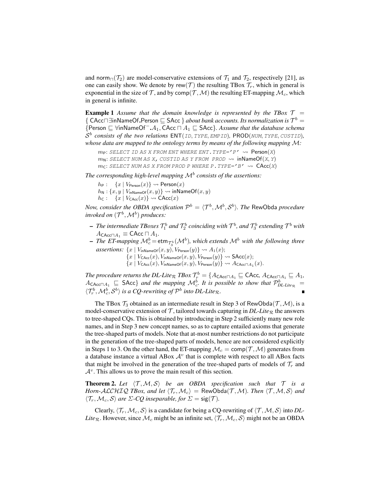and norm $\Gamma(T_1)$  are model-conservative extensions of  $\mathcal{T}_1$  and  $\mathcal{T}_2$ , respectively [21], as one can easily show. We denote by rew(T) the resulting TBox  $\mathcal{T}_r$ , which in general is exponential in the size of T, and by comp(T, M) the resulting ET-mapping  $\mathcal{M}_c$ , which in general is infinite.

**Example 1** Assume that the domain knowledge is represented by the TBox  $T =$  $\{$  CAcc $\Box$  in NameOf. Person  $\Box$  SAcc  $\}$  *about bank accounts. Its normalization is*  $\mathcal{T}^b$  = {Person  $\subseteq$  ∀inNameOf<sup>-</sup>.A<sub>1</sub>, CAcc  $\sqcap$  A<sub>1</sub>  $\subseteq$  SAcc}*. Assume that the database schema*  $\mathcal{S}^b$  consists of the two relations  $\mathsf{ENT}(\mathit{ID}, \mathit{TYPE}, \mathit{EMPID})$ ,  $\mathsf{PROD}(\mathit{NUM}, \mathit{TYPE}, \mathit{CUSTID})$ , *whose data are mapped to the ontology terms by means of the following mapping* M*:*

```
m_P: SELECT ID AS X FROM ENT WHERE ENT. TYPE='P' \rightsquigarrow Person(X)
m_N: SELECT NUM AS X, CUSTID AS Y FROM PROD \rightsquigarrow inNameOf(X, Y)
mc: SELECT NUM AS X FROM PROD P WHERE P. TYPE='B' ~ \rightarrow ~ CAcc(X)
```
*The corresponding high-level mapping* M<sup>b</sup> *consists of the assertions:*

 $h_P: \quad \{x \mid V_{\text{Person}}(x)\} \leadsto \text{Person}(x)$  $h_N: \{x, y \mid V_{inNameOf}(x, y)\} \rightsquigarrow$  inNameOf $(x, y)$  $h_{\mathsf{C}}: \{x \mid V_{\mathsf{CAcc}}(x)\} \rightsquigarrow \mathsf{CAcc}(x)$ 

*Now, consider the OBDA specification*  $\mathcal{P}^b = \langle \mathcal{T}^b, \mathcal{M}^b, \mathcal{S}^b \rangle$ *. The <code>RewObda</code> procedure invoked on*  $({\mathcal T}^b,{\mathcal M}^b)$  *produces:* 

- $-$  *The intermediate TBoxes*  $\mathcal{T}_1^b$  *and*  $\mathcal{T}_2^b$  *coinciding with*  $\mathcal{T}^b$ *, and*  $\mathcal{T}_3^b$  *extending*  $\mathcal{T}^b$  *with*  $A_{\mathsf{CAcc} \sqcap A_1} \equiv \mathsf{CAcc} \sqcap A_1.$
- $-$  *The ET-mapping*  $\mathcal{M}_c^b$  =  $etm_{\mathcal{T}_3^b}(\mathcal{M}^b)$ , which extends  $\mathcal{M}^b$  with the following three *assertions:*  $\{x \mid V_{\text{inNameOf}}(x, y), V_{\text{Person}}(y)\} \rightsquigarrow A_1(x);$ 
	- ${x | V_{\text{CAcc}}(x), V_{\text{inNameOf}}(x, y), V_{\text{Person}}(y)} \rightsquigarrow \text{SAcc}(x);$
	- $\{x\mid V_{\mathsf{CAC}}(x), V_{\mathsf{inNameOf}}(x,y), V_{\mathsf{Person}}(y)\}\leadsto A_{\mathsf{CACC} \sqcap A_1}(x).$

The procedure returns the DL-Lite<sub>R</sub>  $TBox$   $\mathcal{T}_r^b = \{A_{\mathsf{CAcc} \sqcap A_1} \sqsubseteq \mathsf{CAcc}, A_{\mathsf{CAcc} \sqcap A_1} \sqsubseteq A_1,$  $A_{\text{CAcc} \sqcap A_1} \subseteq \text{SAcc}$  *and the mapping*  $\mathcal{M}_c^b$ . It is possible to show that  $\mathcal{P}_{DL\text{-}Lie_R}^b =$  $\langle \mathcal{T}_r^b, \mathcal{M}_c^b, \mathcal{S}^b \rangle$  is a CQ-rewriting of  $\mathcal{P}^b$  into DL-Lite<sub>R</sub>.

The TBox  $\mathcal{T}_3$  obtained as an intermediate result in Step 3 of RewObda $(\mathcal{T}, \mathcal{M})$ , is a model-conservative extension of  $\mathcal{T}$ , tailored towards capturing in *DL-Lite*<sub>R</sub> the answers to tree-shaped CQs. This is obtained by introducing in Step 2 sufficiently many new role names, and in Step 3 new concept names, so as to capture entailed axioms that generate the tree-shaped parts of models. Note that at-most number restrictions do not participate in the generation of the tree-shaped parts of models, hence are not considered explicitly in Steps 1 to 3. On the other hand, the ET-mapping  $\mathcal{M}_c = \text{comp}(\mathcal{T}, \mathcal{M})$  generates from a database instance a virtual ABox  $A<sup>v</sup>$  that is complete with respect to all ABox facts that might be involved in the generation of the tree-shaped parts of models of  $\mathcal{T}_r$  and  $A<sup>v</sup>$ . This allows us to prove the main result of this section.

**Theorem 2.** Let  $\langle T, M, S \rangle$  be an OBDA specification such that  $T$  is a *Horn-ALCHIQ TBox, and let*  $\langle T_r, M_c \rangle$  = RewObda(T, M)*. Then*  $\langle T, M, S \rangle$  *and*  $\langle \mathcal{T}_r, \mathcal{M}_c, \mathcal{S} \rangle$  *are*  $\Sigma$ -CQ *inseparable, for*  $\Sigma = \text{sig}(\mathcal{T})$ *.* 

Clearly,  $\langle \mathcal{T}_r, \mathcal{M}_c, \mathcal{S} \rangle$  is a candidate for being a CQ-rewriting of  $\langle \mathcal{T}, \mathcal{M}, \mathcal{S} \rangle$  into *DL*-*Lite*<sub>R</sub>. However, since  $M_c$  might be an infinite set,  $\langle \mathcal{T}_r, M_c, \mathcal{S} \rangle$  might not be an OBDA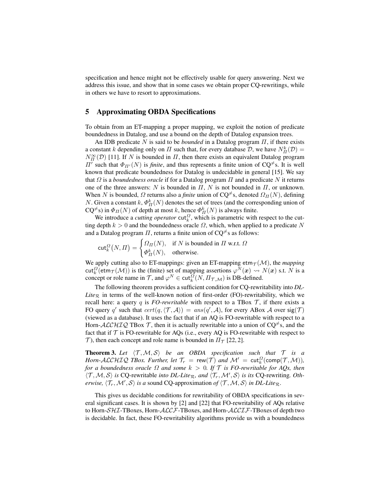specification and hence might not be effectively usable for query answering. Next we address this issue, and show that in some cases we obtain proper CQ-rewritings, while in others we have to resort to approximations.

#### 5 Approximating OBDA Specifications

To obtain from an ET-mapping a proper mapping, we exploit the notion of predicate boundedness in Datalog, and use a bound on the depth of Datalog expansion trees.

An IDB predicate N is said to be *bounded* in a Datalog program Π, if there exists a constant k depending only on  $\Pi$  such that, for every database  $D$ , we have  $N_H^k(D)$  =  $N_H^{\infty}(\mathcal{D})$  [11]. If N is bounded in  $\Pi$ , then there exists an equivalent Datalog program  $\Pi'$  such that  $\Phi_{\Pi'}(N)$  is *finite*, and thus represents a finite union of CQ<sup> $\neq$ </sup>s. It is well known that predicate boundedness for Datalog is undecidable in general [15]. We say that  $\Omega$  is a *boundedness oracle* if for a Datalog program  $\Pi$  and a predicate  $N$  it returns one of the three answers: N is bounded in  $\Pi$ , N is not bounded in  $\Pi$ , or unknown. When N is bounded,  $\Omega$  returns also a *finite* union of CQ<sup> $\neq$ </sup>s, denoted  $\Omega_{\Pi}(N)$ , defining N. Given a constant  $k$ ,  $\Phi_H^k(N)$  denotes the set of trees (and the corresponding union of  $CQ^{\neq}$ s) in  $\Phi_{\Pi}(N)$  of depth at most k, hence  $\Phi_{\Pi}^{k}(N)$  is always finite.

We introduce a *cutting operator*  $\text{cut}_k^{\Omega}$ , which is parametric with respect to the cutting depth  $k > 0$  and the boundedness oracle  $\Omega$ , which, when applied to a predicate N and a Datalog program  $\Pi$ , returns a finite union of CQ<sup> $\neq$ </sup>s as follows:

$$
\text{cut}_{k}^{\Omega}(N,\Pi) = \begin{cases} \Omega_{\Pi}(N), & \text{if } N \text{ is bounded in } \Pi \text{ w.r.t. } \Omega \\ \Phi_{\Pi}^{k}(N), & \text{otherwise.} \end{cases}
$$

We apply cutting also to ET-mappings: given an ET-mapping  $\text{etm}_{\mathcal{T}}(\mathcal{M})$ , the *mapping* cut $k^{\Omega}$ (etm $_{\mathcal{T}}(\mathcal{M})$ ) is the (finite) set of mapping assertions  $\varphi^N(\bm{x}) \leadsto N(\bm{x})$  s.t. N is a concept or role name in  $\mathcal{T}$ , and  $\varphi^N \in \text{cut}_k^{\Omega}(N, \Pi_{\mathcal{T}, \mathcal{M}})$  is DB-defined.

The following theorem provides a sufficient condition for CQ-rewritability into *DL-Lite* $\pi$  in terms of the well-known notion of first-order (FO)-rewritability, which we recall here: a query q is *FO-rewritable* with respect to a TBox  $\mathcal{T}$ , if there exists a FO query q' such that  $cert(q, \langle T, A \rangle) = ans(q', A)$ , for every ABox A over sig(T) (viewed as a database). It uses the fact that if an AQ is FO-rewritable with respect to a Horn-ALCHIQ TBox  $\mathcal{T}$ , then it is actually rewritable into a union of  $CQ^{\neq}s$ , and the fact that if  $\mathcal T$  is FO-rewritable for AQs (i.e., every AQ is FO-rewritable with respect to T), then each concept and role name is bounded in  $\Pi_{\mathcal{T}}$  [22, 2].

**Theorem 3.** Let  $\langle T, M, S \rangle$  be an OBDA specification such that  $T$  is a *Horn-ALCHIQ TBox. Further, let*  $\mathcal{T}_r = \text{rew}(\mathcal{T})$  *and*  $\mathcal{M}' = \text{cut}_k^{\Omega}(\text{comp}(\mathcal{T}, \mathcal{M}))$ *, for a boundedness oracle*  $\Omega$  *and some*  $k > 0$ *. If*  $\mathcal{T}$  *is FO-rewritable for AQs, then*  $\langle T, M, S \rangle$  *is* CQ-rewritable *into DL-Lite<sub>R</sub>*, and  $\langle T_r, M', S \rangle$  *is its* CQ-rewriting. *Otherwise,*  $\langle \mathcal{T}_r, \mathcal{M}', \mathcal{S} \rangle$  *is a* sound CQ-approximation *of*  $\langle \mathcal{T}, \mathcal{M}, \mathcal{S} \rangle$  *in DL-Lite*<sub>R</sub>.

This gives us decidable conditions for rewritability of OBDA specifications in several significant cases. It is shown by [2] and [22] that FO-rewritability of AQs relative to Horn-SHI-TBoxes, Horn-ALCF-TBoxes, and Horn-ALCIF-TBoxes of depth two is decidable. In fact, these FO-rewritability algorithms provide us with a boundedness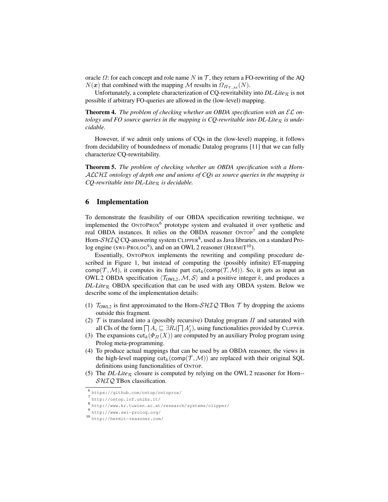oracle  $\Omega$ : for each concept and role name N in T, they return a FO-rewriting of the AQ  $N(x)$  that combined with the mapping M results in  $\Omega_{\Pi_{\tau,M}}(N)$ .

Unfortunately, a complete characterization of CQ-rewritability into  $DL\text{-}Like_{\mathcal{R}}$  is not possible if arbitrary FO-queries are allowed in the (low-level) mapping.

Theorem 4. The problem of checking whether an OBDA specification with an  $\mathcal{EL}$  on*tology and FO source queries in the mapping is CQ-rewritable into*  $DL\text{-}Life_{\mathcal{R}}$  *is undecidable.*

However, if we admit only unions of CQs in the (low-level) mapping, it follows from decidability of boundedness of monadic Datalog programs [11] that we can fully characterize CQ-rewritability.

Theorem 5. *The problem of checking whether an OBDA specification with a Horn-*ALCHI *ontology of depth one and unions of CQs as source queries in the mapping is CQ-rewritable into DL-Lite*<sub> $R$ </sub> *is decidable.* 

#### 6 Implementation

To demonstrate the feasibility of our OBDA specification rewriting technique, we implemented the  $ONTOPROX^6$  prototype system and evaluated it over synthetic and real OBDA instances. It relies on the OBDA reasoner  $\text{ONTOP}^7$  and the complete Horn- $\mathcal{SHIQ}$  CQ-answering system CLIPPER $^8$ , used as Java libraries, on a standard Prolog engine (SWI-PROLOG<sup>9</sup>), and on an OWL 2 reasoner (HERMIT<sup>10</sup>).

Essentially, ONTOPROX implements the rewriting and compiling procedure described in Figure 1, but instead of computing the (possibly infinite) ET-mapping comp(T, M), it computes its finite part cut<sub>k</sub>(comp(T, M)). So, it gets as input an OWL 2 OBDA specification  $\langle \mathcal{T}_{\text{OWL2}}, \mathcal{M}, \mathcal{S} \rangle$  and a positive integer k, and produces a  $DL\text{-}Life_R$  OBDA specification that can be used with any OBDA system. Below we describe some of the implementation details:

- (1)  $\mathcal{T}_{\text{OWL2}}$  is first approximated to the Horn-SHIQ TBox  $\mathcal{T}$  by dropping the axioms outside this fragment.
- (2)  $\mathcal T$  is translated into a (possibly recursive) Datalog program  $\Pi$  and saturated with all CIs of the form  $\prod A_i \sqsubseteq \exists R \cdot (\prod A'_j)$ , using functionalities provided by CLIPPER.
- (3) The expansions cut<sub>k</sub>( $\Phi_{\Pi}(X)$ ) are computed by an auxiliary Prolog program using Prolog meta-programming.
- (4) To produce actual mappings that can be used by an OBDA reasoner, the views in the high-level mapping  $cut_k(comp(\mathcal{T}, \mathcal{M}))$  are replaced with their original SQL definitions using functionalities of ONTOP.
- (5) The *DL-Lite*<sub>R</sub> closure is computed by relying on the OWL 2 reasoner for Horn--SHIQ TBox classification.

<sup>6</sup> https://github.com/ontop/ontoprox/

 $^7$  http://ontop.inf.unibz.it/<br>8 http://www.by.tunics.co.it

http://www.kr.tuwien.ac.at/research/systems/clipper/

<sup>9</sup> http://www.swi-prolog.org/

<sup>10</sup> http://hermit-reasoner.com/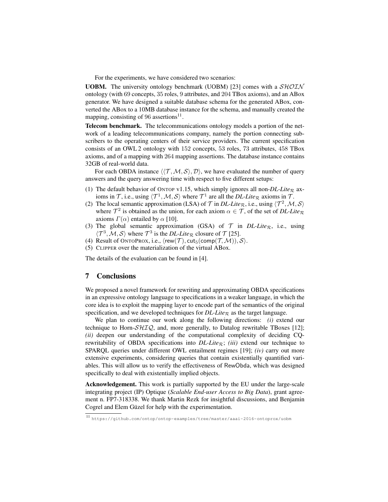For the experiments, we have considered two scenarios:

**UOBM.** The university ontology benchmark (UOBM) [23] comes with a  $\mathcal{SHOLN}$ ontology (with 69 concepts, 35 roles, 9 attributes, and 204 TBox axioms), and an ABox generator. We have designed a suitable database schema for the generated ABox, converted the ABox to a 10MB database instance for the schema, and manually created the mapping, consisting of 96 assertions<sup>11</sup>.

Telecom benchmark. The telecommunications ontology models a portion of the network of a leading telecommunications company, namely the portion connecting subscribers to the operating centers of their service providers. The current specification consists of an OWL 2 ontology with 152 concepts, 53 roles, 73 attributes, 458 TBox axioms, and of a mapping with 264 mapping assertions. The database instance contains 32GB of real-world data.

For each OBDA instance  $\langle\langle \mathcal{T}, \mathcal{M}, \mathcal{S}\rangle, \mathcal{D}\rangle$ , we have evaluated the number of query answers and the query answering time with respect to five different setups:

- (1) The default behavior of ONTOP v1.15, which simply ignores all non-*DL-Lite*<sub>R</sub> axioms in T, i.e., using  $\langle \mathcal{T}^1, \mathcal{M}, \mathcal{S} \rangle$  where  $\mathcal{T}^1$  are all the *DL-Lite*<sub>R</sub> axioms in T.
- (2) The local semantic approximation (LSA) of  $T$  in *DL-Lite<sub>R</sub>*, i.e., using  $\langle T^2, M, S \rangle$ where  $\mathcal{T}^2$  is obtained as the union, for each axiom  $\alpha \in \mathcal{T}$ , of the set of *DL-Lite*<sub>R</sub> axioms  $\Gamma(\alpha)$  entailed by  $\alpha$  [10].
- (3) The global semantic approximation (GSA) of  $T$  in *DL-Lite<sub>R</sub>*, i.e., using  $\langle \mathcal{T}^3, \mathcal{M}, \mathcal{S} \rangle$  where  $\mathcal{T}^3$  is the *DL-Lite*<sub>R</sub> closure of  $\mathcal{T}$  [25].
- (4) Result of ONTOPROX, i.e.,  $\langle \text{rew}(\mathcal{T}), \text{cut}_5(\text{comp}(\mathcal{T},\mathcal{M})), \mathcal{S} \rangle$ .
- (5) CLIPPER over the materialization of the virtual ABox.

The details of the evaluation can be found in [4].

#### 7 Conclusions

We proposed a novel framework for rewriting and approximating OBDA specifications in an expressive ontology language to specifications in a weaker language, in which the core idea is to exploit the mapping layer to encode part of the semantics of the original specification, and we developed techniques for  $DL\text{-}Like_{\mathcal{R}}$  as the target language.

We plan to continue our work along the following directions: *(i)* extend our technique to Horn- $\mathcal{SHTQ}$ , and, more generally, to Datalog rewritable TBoxes [12]; *(ii)* deepen our understanding of the computational complexity of deciding CQrewritability of OBDA specifications into  $DL\text{-}Life_{\mathcal{R}}$ ; *(iii)* extend our technique to SPARQL queries under different OWL entailment regimes [19]; *(iv)* carry out more extensive experiments, considering queries that contain existentially quantified variables. This will allow us to verify the effectiveness of RewObda, which was designed specifically to deal with existentially implied objects.

Acknowledgement. This work is partially supported by the EU under the large-scale integrating project (IP) Optique (*Scalable End-user Access to Big Data*), grant agreement n. FP7-318338. We thank Martin Rezk for insightful discussions, and Benjamin Cogrel and Elem Güzel for help with the experimentation.

<sup>11</sup> https://github.com/ontop/ontop-examples/tree/master/aaai-2016-ontoprox/uobm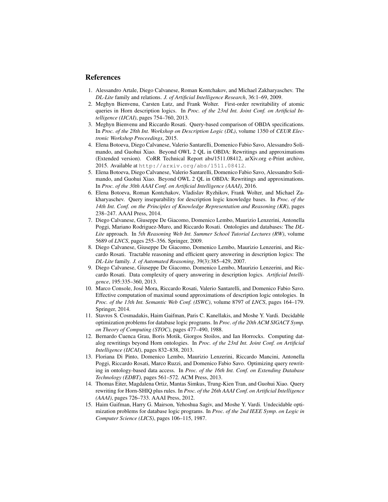#### References

- 1. Alessandro Artale, Diego Calvanese, Roman Kontchakov, and Michael Zakharyaschev. The *DL-Lite* family and relations. *J. of Artificial Intelligence Research*, 36:1–69, 2009.
- 2. Meghyn Bienvenu, Carsten Lutz, and Frank Wolter. First-order rewritability of atomic queries in Horn description logics. In *Proc. of the 23rd Int. Joint Conf. on Artificial Intelligence (IJCAI)*, pages 754–760, 2013.
- 3. Meghyn Bienvenu and Riccardo Rosati. Query-based comparison of OBDA specifications. In *Proc. of the 28th Int. Workshop on Description Logic (DL)*, volume 1350 of *CEUR Electronic Workshop Proceedings*, 2015.
- 4. Elena Botoeva, Diego Calvanese, Valerio Santarelli, Domenico Fabio Savo, Alessandro Solimando, and Guohui Xiao. Beyond OWL 2 QL in OBDA: Rewritings and approximations (Extended version). CoRR Technical Report abs/1511.08412, arXiv.org e-Print archive, 2015. Available at http://arxiv.org/abs/1511.08412.
- 5. Elena Botoeva, Diego Calvanese, Valerio Santarelli, Domenico Fabio Savo, Alessandro Solimando, and Guohui Xiao. Beyond OWL 2 QL in OBDA: Rewritings and approximations. In *Proc. of the 30th AAAI Conf. on Artificial Intelligence (AAAI)*, 2016.
- 6. Elena Botoeva, Roman Kontchakov, Vladislav Ryzhikov, Frank Wolter, and Michael Zakharyaschev. Query inseparability for description logic knowledge bases. In *Proc. of the 14th Int. Conf. on the Principles of Knowledge Representation and Reasoning (KR)*, pages 238–247. AAAI Press, 2014.
- 7. Diego Calvanese, Giuseppe De Giacomo, Domenico Lembo, Maurizio Lenzerini, Antonella Poggi, Mariano Rodriguez-Muro, and Riccardo Rosati. Ontologies and databases: The *DL-Lite* approach. In *5th Reasoning Web Int. Summer School Tutorial Lectures (RW)*, volume 5689 of *LNCS*, pages 255–356. Springer, 2009.
- 8. Diego Calvanese, Giuseppe De Giacomo, Domenico Lembo, Maurizio Lenzerini, and Riccardo Rosati. Tractable reasoning and efficient query answering in description logics: The *DL-Lite* family. *J. of Automated Reasoning*, 39(3):385–429, 2007.
- 9. Diego Calvanese, Giuseppe De Giacomo, Domenico Lembo, Maurizio Lenzerini, and Riccardo Rosati. Data complexity of query answering in description logics. *Artificial Intelligence*, 195:335–360, 2013.
- 10. Marco Console, Jose Mora, Riccardo Rosati, Valerio Santarelli, and Domenico Fabio Savo. ´ Effective computation of maximal sound approximations of description logic ontologies. In *Proc. of the 13th Int. Semantic Web Conf. (ISWC)*, volume 8797 of *LNCS*, pages 164–179. Springer, 2014.
- 11. Stavros S. Cosmadakis, Haim Gaifman, Paris C. Kanellakis, and Moshe Y. Vardi. Decidable optimization problems for database logic programs. In *Proc. of the 20th ACM SIGACT Symp. on Theory of Computing (STOC)*, pages 477–490, 1988.
- 12. Bernardo Cuenca Grau, Boris Motik, Giorgos Stoilos, and Ian Horrocks. Computing datalog rewritings beyond Horn ontologies. In *Proc. of the 23rd Int. Joint Conf. on Artificial Intelligence (IJCAI)*, pages 832–838, 2013.
- 13. Floriana Di Pinto, Domenico Lembo, Maurizio Lenzerini, Riccardo Mancini, Antonella Poggi, Riccardo Rosati, Marco Ruzzi, and Domenico Fabio Savo. Optimizing query rewriting in ontology-based data access. In *Proc. of the 16th Int. Conf. on Extending Database Technology (EDBT)*, pages 561–572. ACM Press, 2013.
- 14. Thomas Eiter, Magdalena Ortiz, Mantas Simkus, Trung-Kien Tran, and Guohui Xiao. Query rewriting for Horn-SHIQ plus rules. In *Proc. of the 26th AAAI Conf. on Artificial Intelligence (AAAI)*, pages 726–733. AAAI Press, 2012.
- 15. Haim Gaifman, Harry G. Mairson, Yehoshua Sagiv, and Moshe Y. Vardi. Undecidable optimization problems for database logic programs. In *Proc. of the 2nd IEEE Symp. on Logic in Computer Science (LICS)*, pages 106–115, 1987.